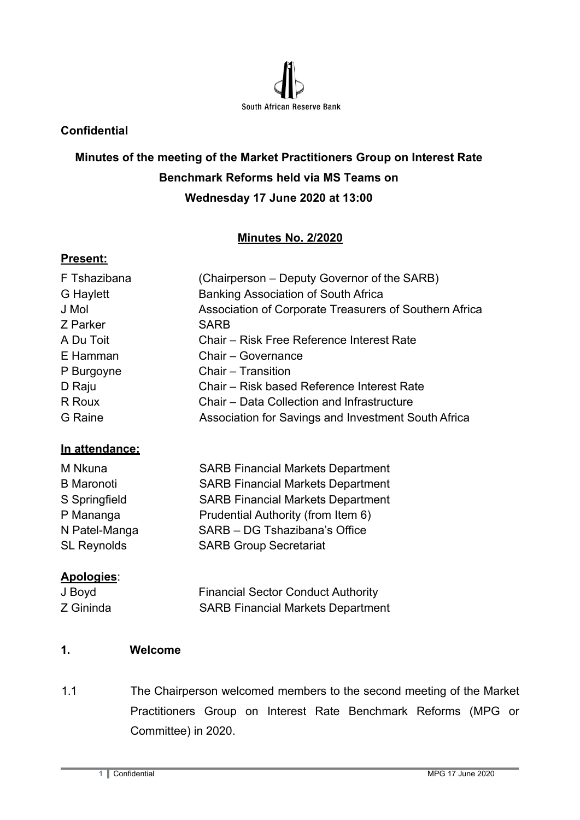

### **Confidential**

# **Minutes of the meeting of the Market Practitioners Group on Interest Rate Benchmark Reforms held via MS Teams on Wednesday 17 June 2020 at 13:00**

# **Minutes No. 2/2020**

### **Present:**

| F Tshazibana | (Chairperson – Deputy Governor of the SARB)            |
|--------------|--------------------------------------------------------|
| G Haylett    | Banking Association of South Africa                    |
| J Mol        | Association of Corporate Treasurers of Southern Africa |
| Z Parker     | <b>SARB</b>                                            |
| A Du Toit    | Chair – Risk Free Reference Interest Rate              |
| E Hamman     | Chair - Governance                                     |
| P Burgoyne   | Chair - Transition                                     |
| D Raju       | Chair – Risk based Reference Interest Rate             |
| R Roux       | Chair – Data Collection and Infrastructure             |
| G Raine      | Association for Savings and Investment South Africa    |

#### **In attendance:**

| M Nkuna            | <b>SARB Financial Markets Department</b> |
|--------------------|------------------------------------------|
| <b>B</b> Maronoti  | <b>SARB Financial Markets Department</b> |
| S Springfield      | <b>SARB Financial Markets Department</b> |
| P Mananga          | Prudential Authority (from Item 6)       |
| N Patel-Manga      | SARB - DG Tshazibana's Office            |
| <b>SL Reynolds</b> | <b>SARB Group Secretariat</b>            |
|                    |                                          |

### **Apologies**:

| J Boyd    | <b>Financial Sector Conduct Authority</b> |
|-----------|-------------------------------------------|
| Z Gininda | <b>SARB Financial Markets Department</b>  |

### **1. Welcome**

1.1 The Chairperson welcomed members to the second meeting of the Market Practitioners Group on Interest Rate Benchmark Reforms (MPG or Committee) in 2020.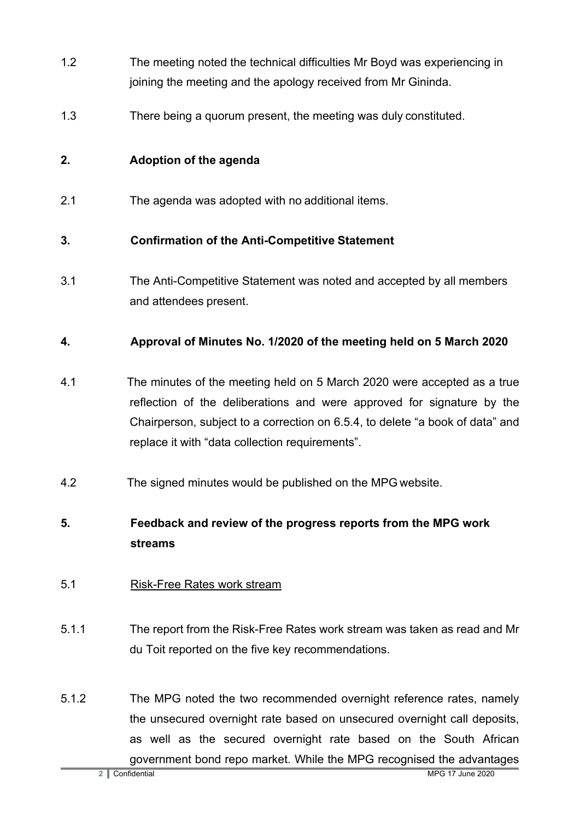- 1.2 The meeting noted the technical difficulties Mr Boyd was experiencing in joining the meeting and the apology received from Mr Gininda.
- 1.3 There being a quorum present, the meeting was duly constituted.

# **2. Adoption of the agenda**

2.1 The agenda was adopted with no additional items.

### **3. Confirmation of the Anti-Competitive Statement**

3.1 The Anti-Competitive Statement was noted and accepted by all members and attendees present.

# **4. Approval of Minutes No. 1/2020 of the meeting held on 5 March 2020**

- 4.1 The minutes of the meeting held on 5 March 2020 were accepted as a true reflection of the deliberations and were approved for signature by the Chairperson, subject to a correction on 6.5.4, to delete "a book of data" and replace it with "data collection requirements".
- 4.2 The signed minutes would be published on the MPG website.

# **5. Feedback and review of the progress reports from the MPG work streams**

- 5.1 Risk-Free Rates work stream
- 5.1.1 The report from the Risk-Free Rates work stream was taken as read and Mr du Toit reported on the five key recommendations.
- 5.1.2 The MPG noted the two recommended overnight reference rates, namely the unsecured overnight rate based on unsecured overnight call deposits, as well as the secured overnight rate based on the South African government bond repo market. While the MPG recognised the advantages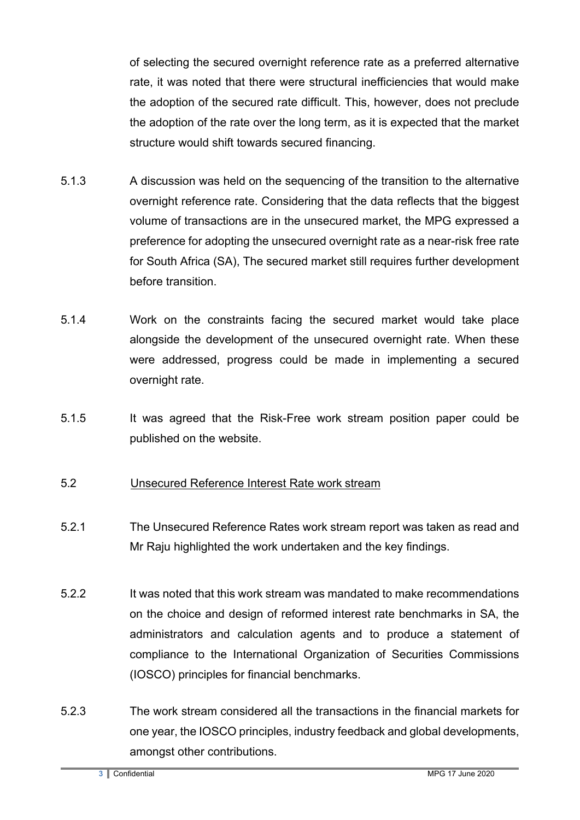of selecting the secured overnight reference rate as a preferred alternative rate, it was noted that there were structural inefficiencies that would make the adoption of the secured rate difficult. This, however, does not preclude the adoption of the rate over the long term, as it is expected that the market structure would shift towards secured financing.

- 5.1.3 A discussion was held on the sequencing of the transition to the alternative overnight reference rate. Considering that the data reflects that the biggest volume of transactions are in the unsecured market, the MPG expressed a preference for adopting the unsecured overnight rate as a near-risk free rate for South Africa (SA), The secured market still requires further development before transition.
- 5.1.4 Work on the constraints facing the secured market would take place alongside the development of the unsecured overnight rate. When these were addressed, progress could be made in implementing a secured overnight rate.
- 5.1.5 It was agreed that the Risk-Free work stream position paper could be published on the website.

### 5.2 Unsecured Reference Interest Rate work stream

- 5.2.1 The Unsecured Reference Rates work stream report was taken as read and Mr Raju highlighted the work undertaken and the key findings.
- 5.2.2 It was noted that this work stream was mandated to make recommendations on the choice and design of reformed interest rate benchmarks in SA, the administrators and calculation agents and to produce a statement of compliance to the International Organization of Securities Commissions (IOSCO) principles for financial benchmarks.
- 5.2.3 The work stream considered all the transactions in the financial markets for one year, the IOSCO principles, industry feedback and global developments, amongst other contributions.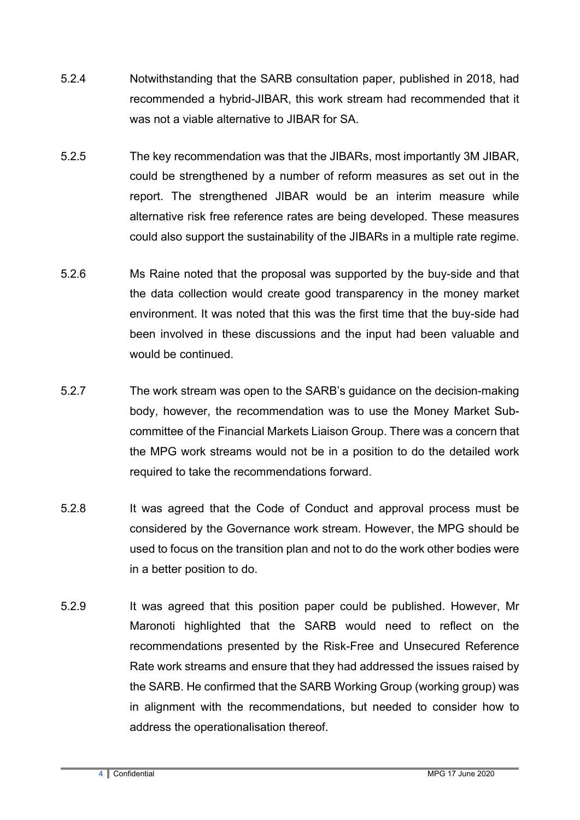- 5.2.4 Notwithstanding that the SARB consultation paper, published in 2018, had recommended a hybrid-JIBAR, this work stream had recommended that it was not a viable alternative to JIBAR for SA.
- 5.2.5 The key recommendation was that the JIBARs, most importantly 3M JIBAR, could be strengthened by a number of reform measures as set out in the report. The strengthened JIBAR would be an interim measure while alternative risk free reference rates are being developed. These measures could also support the sustainability of the JIBARs in a multiple rate regime.
- 5.2.6 Ms Raine noted that the proposal was supported by the buy-side and that the data collection would create good transparency in the money market environment. It was noted that this was the first time that the buy-side had been involved in these discussions and the input had been valuable and would be continued.
- 5.2.7 The work stream was open to the SARB's guidance on the decision-making body, however, the recommendation was to use the Money Market Subcommittee of the Financial Markets Liaison Group. There was a concern that the MPG work streams would not be in a position to do the detailed work required to take the recommendations forward.
- 5.2.8 It was agreed that the Code of Conduct and approval process must be considered by the Governance work stream. However, the MPG should be used to focus on the transition plan and not to do the work other bodies were in a better position to do.
- 5.2.9 It was agreed that this position paper could be published. However, Mr Maronoti highlighted that the SARB would need to reflect on the recommendations presented by the Risk-Free and Unsecured Reference Rate work streams and ensure that they had addressed the issues raised by the SARB. He confirmed that the SARB Working Group (working group) was in alignment with the recommendations, but needed to consider how to address the operationalisation thereof.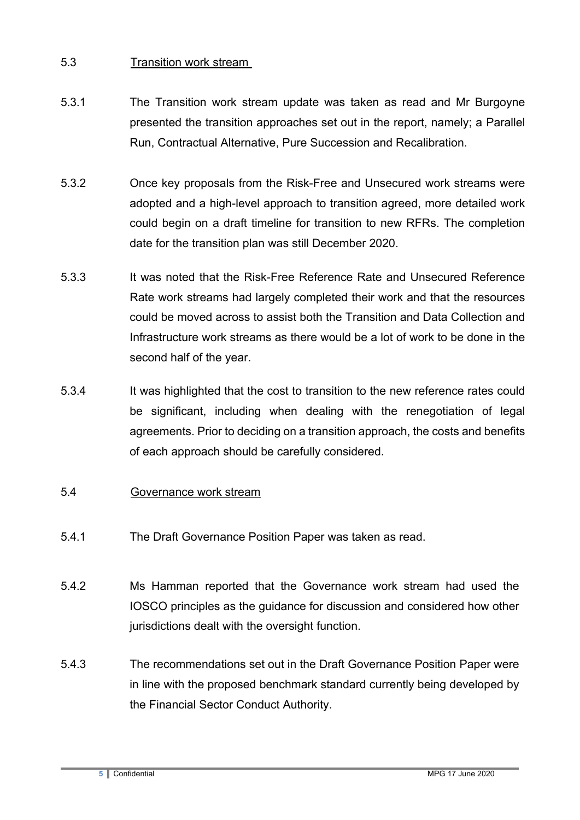# 5.3 Transition work stream

- 5.3.1 The Transition work stream update was taken as read and Mr Burgoyne presented the transition approaches set out in the report, namely; a Parallel Run, Contractual Alternative, Pure Succession and Recalibration.
- 5.3.2 Once key proposals from the Risk-Free and Unsecured work streams were adopted and a high-level approach to transition agreed, more detailed work could begin on a draft timeline for transition to new RFRs. The completion date for the transition plan was still December 2020.
- 5.3.3 It was noted that the Risk-Free Reference Rate and Unsecured Reference Rate work streams had largely completed their work and that the resources could be moved across to assist both the Transition and Data Collection and Infrastructure work streams as there would be a lot of work to be done in the second half of the year.
- 5.3.4 It was highlighted that the cost to transition to the new reference rates could be significant, including when dealing with the renegotiation of legal agreements. Prior to deciding on a transition approach, the costs and benefits of each approach should be carefully considered.
- 5.4 Governance work stream
- 5.4.1 The Draft Governance Position Paper was taken as read.
- 5.4.2 Ms Hamman reported that the Governance work stream had used the IOSCO principles as the guidance for discussion and considered how other jurisdictions dealt with the oversight function.
- 5.4.3 The recommendations set out in the Draft Governance Position Paper were in line with the proposed benchmark standard currently being developed by the Financial Sector Conduct Authority.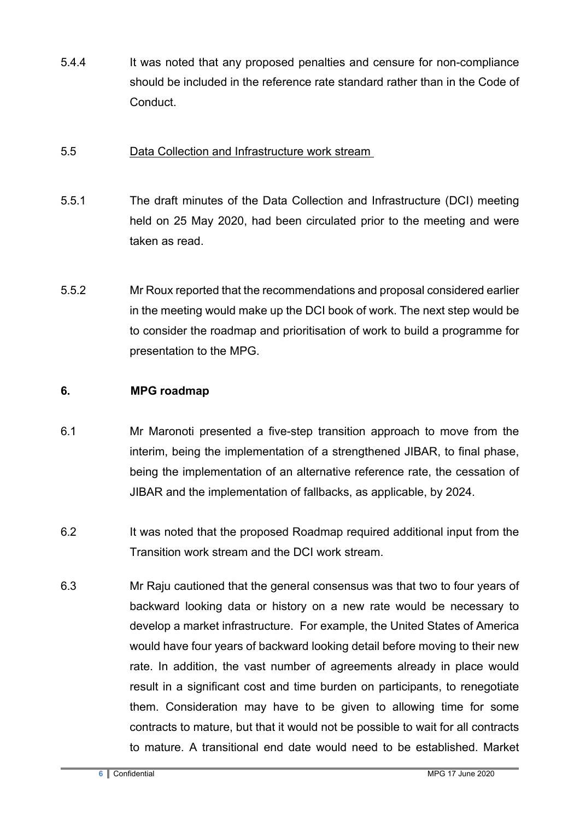5.4.4 It was noted that any proposed penalties and censure for non-compliance should be included in the reference rate standard rather than in the Code of **Conduct** 

### 5.5 Data Collection and Infrastructure work stream

- 5.5.1 The draft minutes of the Data Collection and Infrastructure (DCI) meeting held on 25 May 2020, had been circulated prior to the meeting and were taken as read.
- 5.5.2 Mr Roux reported that the recommendations and proposal considered earlier in the meeting would make up the DCI book of work. The next step would be to consider the roadmap and prioritisation of work to build a programme for presentation to the MPG.

# **6. MPG roadmap**

- 6.1 Mr Maronoti presented a five-step transition approach to move from the interim, being the implementation of a strengthened JIBAR, to final phase, being the implementation of an alternative reference rate, the cessation of JIBAR and the implementation of fallbacks, as applicable, by 2024.
- 6.2 It was noted that the proposed Roadmap required additional input from the Transition work stream and the DCI work stream.
- 6.3 Mr Raju cautioned that the general consensus was that two to four years of backward looking data or history on a new rate would be necessary to develop a market infrastructure. For example, the United States of America would have four years of backward looking detail before moving to their new rate. In addition, the vast number of agreements already in place would result in a significant cost and time burden on participants, to renegotiate them. Consideration may have to be given to allowing time for some contracts to mature, but that it would not be possible to wait for all contracts to mature. A transitional end date would need to be established. Market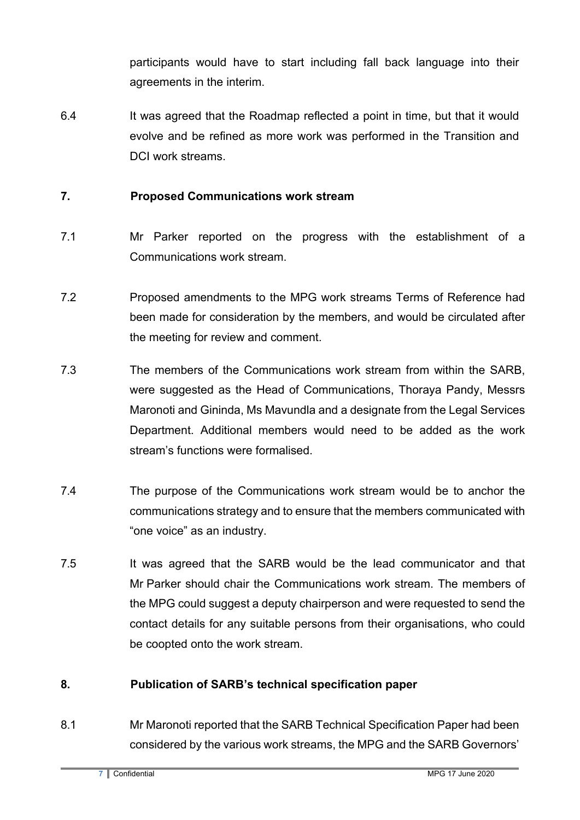participants would have to start including fall back language into their agreements in the interim.

6.4 It was agreed that the Roadmap reflected a point in time, but that it would evolve and be refined as more work was performed in the Transition and DCI work streams.

## **7. Proposed Communications work stream**

- 7.1 Mr Parker reported on the progress with the establishment of a Communications work stream.
- 7.2 Proposed amendments to the MPG work streams Terms of Reference had been made for consideration by the members, and would be circulated after the meeting for review and comment.
- 7.3 The members of the Communications work stream from within the SARB, were suggested as the Head of Communications, Thoraya Pandy, Messrs Maronoti and Gininda, Ms Mavundla and a designate from the Legal Services Department. Additional members would need to be added as the work stream's functions were formalised.
- 7.4 The purpose of the Communications work stream would be to anchor the communications strategy and to ensure that the members communicated with "one voice" as an industry.
- 7.5 It was agreed that the SARB would be the lead communicator and that Mr Parker should chair the Communications work stream. The members of the MPG could suggest a deputy chairperson and were requested to send the contact details for any suitable persons from their organisations, who could be coopted onto the work stream.

# **8. Publication of SARB's technical specification paper**

8.1 Mr Maronoti reported that the SARB Technical Specification Paper had been considered by the various work streams, the MPG and the SARB Governors'